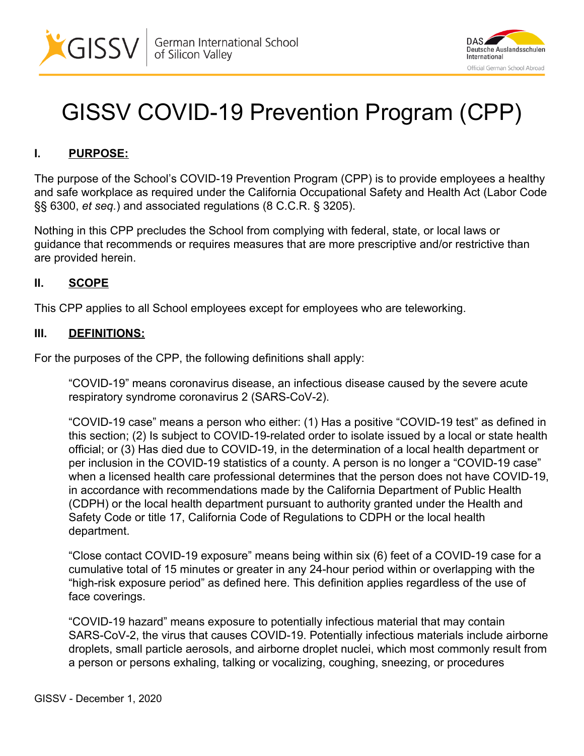



# GISSV COVID-19 Prevention Program (CPP)

## **I. PURPOSE:**

The purpose of the School's COVID-19 Prevention Program (CPP) is to provide employees a healthy and safe workplace as required under the California Occupational Safety and Health Act (Labor Code §§ 6300, *et seq.*) and associated regulations (8 C.C.R. § 3205).

Nothing in this CPP precludes the School from complying with federal, state, or local laws or guidance that recommends or requires measures that are more prescriptive and/or restrictive than are provided herein.

#### **II. SCOPE**

This CPP applies to all School employees except for employees who are teleworking.

#### **III. DEFINITIONS:**

For the purposes of the CPP, the following definitions shall apply:

"COVID-19" means coronavirus disease, an infectious disease caused by the severe acute respiratory syndrome coronavirus 2 (SARS-CoV-2).

"COVID-19 case" means a person who either: (1) Has a positive "COVID-19 test" as defined in this section; (2) Is subject to COVID-19-related order to isolate issued by a local or state health official; or (3) Has died due to COVID-19, in the determination of a local health department or per inclusion in the COVID-19 statistics of a county. A person is no longer a "COVID-19 case" when a licensed health care professional determines that the person does not have COVID-19, in accordance with recommendations made by the California Department of Public Health (CDPH) or the local health department pursuant to authority granted under the Health and Safety Code or title 17, California Code of Regulations to CDPH or the local health department.

"Close contact COVID-19 exposure" means being within six (6) feet of a COVID-19 case for a cumulative total of 15 minutes or greater in any 24-hour period within or overlapping with the "high-risk exposure period" as defined here. This definition applies regardless of the use of face coverings.

"COVID-19 hazard" means exposure to potentially infectious material that may contain SARS-CoV-2, the virus that causes COVID-19. Potentially infectious materials include airborne droplets, small particle aerosols, and airborne droplet nuclei, which most commonly result from a person or persons exhaling, talking or vocalizing, coughing, sneezing, or procedures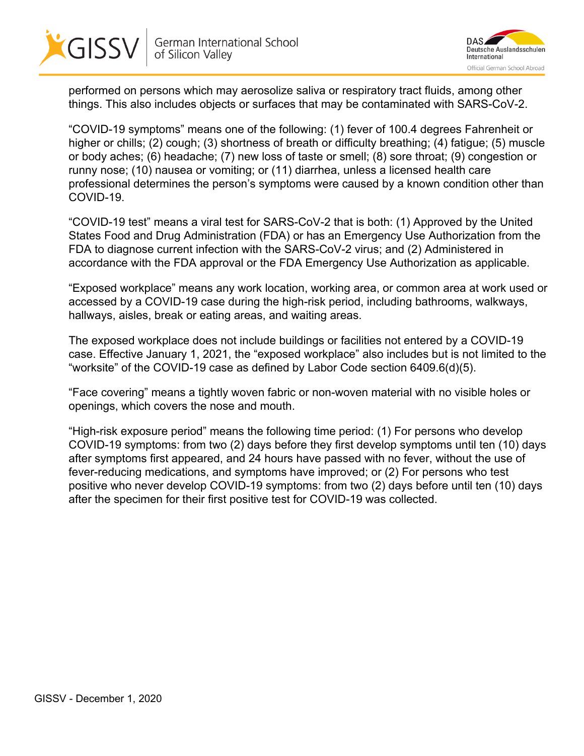



performed on persons which may aerosolize saliva or respiratory tract fluids, among other things. This also includes objects or surfaces that may be contaminated with SARS-CoV-2.

"COVID-19 symptoms" means one of the following: (1) fever of 100.4 degrees Fahrenheit or higher or chills; (2) cough; (3) shortness of breath or difficulty breathing; (4) fatigue; (5) muscle or body aches; (6) headache; (7) new loss of taste or smell; (8) sore throat; (9) congestion or runny nose; (10) nausea or vomiting; or (11) diarrhea, unless a licensed health care professional determines the person's symptoms were caused by a known condition other than COVID-19.

"COVID-19 test" means a viral test for SARS-CoV-2 that is both: (1) Approved by the United States Food and Drug Administration (FDA) or has an Emergency Use Authorization from the FDA to diagnose current infection with the SARS-CoV-2 virus; and (2) Administered in accordance with the FDA approval or the FDA Emergency Use Authorization as applicable.

"Exposed workplace" means any work location, working area, or common area at work used or accessed by a COVID-19 case during the high-risk period, including bathrooms, walkways, hallways, aisles, break or eating areas, and waiting areas.

The exposed workplace does not include buildings or facilities not entered by a COVID-19 case. Effective January 1, 2021, the "exposed workplace" also includes but is not limited to the "worksite" of the COVID-19 case as defined by Labor Code section 6409.6(d)(5).

"Face covering" means a tightly woven fabric or non-woven material with no visible holes or openings, which covers the nose and mouth.

"High-risk exposure period" means the following time period: (1) For persons who develop COVID-19 symptoms: from two (2) days before they first develop symptoms until ten (10) days after symptoms first appeared, and 24 hours have passed with no fever, without the use of fever-reducing medications, and symptoms have improved; or (2) For persons who test positive who never develop COVID-19 symptoms: from two (2) days before until ten (10) days after the specimen for their first positive test for COVID-19 was collected.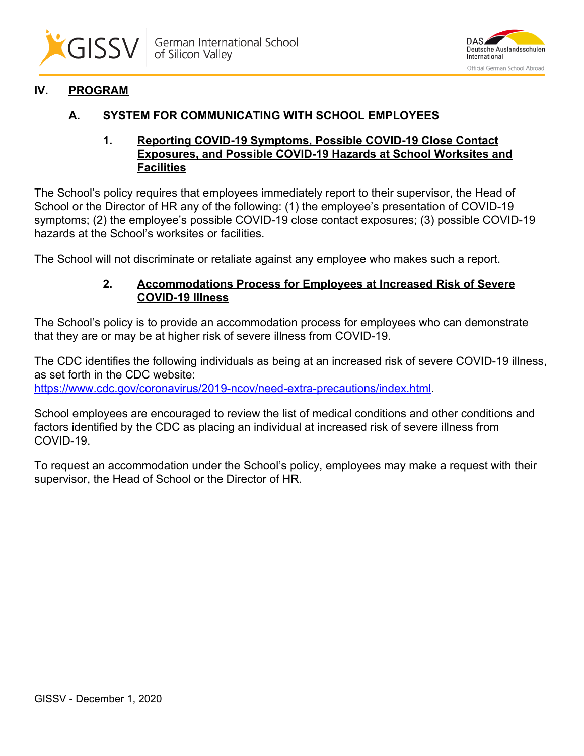



# **IV. PROGRAM**

#### **A. SYSTEM FOR COMMUNICATING WITH SCHOOL EMPLOYEES**

#### **1. Reporting COVID-19 Symptoms, Possible COVID-19 Close Contact Exposures, and Possible COVID-19 Hazards at School Worksites and Facilities**

The School's policy requires that employees immediately report to their supervisor, the Head of School or the Director of HR any of the following: (1) the employee's presentation of COVID-19 symptoms; (2) the employee's possible COVID-19 close contact exposures; (3) possible COVID-19 hazards at the School's worksites or facilities.

The School will not discriminate or retaliate against any employee who makes such a report.

#### **2. Accommodations Process for Employees at Increased Risk of Severe COVID-19 Illness**

The School's policy is to provide an accommodation process for employees who can demonstrate that they are or may be at higher risk of severe illness from COVID-19.

The CDC identifies the following individuals as being at an increased risk of severe COVID-19 illness, as set forth in the CDC website: <https://www.cdc.gov/coronavirus/2019-ncov/need-extra-precautions/index.html>.

School employees are encouraged to review the list of medical conditions and other conditions and factors identified by the CDC as placing an individual at increased risk of severe illness from COVID-19.

To request an accommodation under the School's policy, employees may make a request with their supervisor, the Head of School or the Director of HR.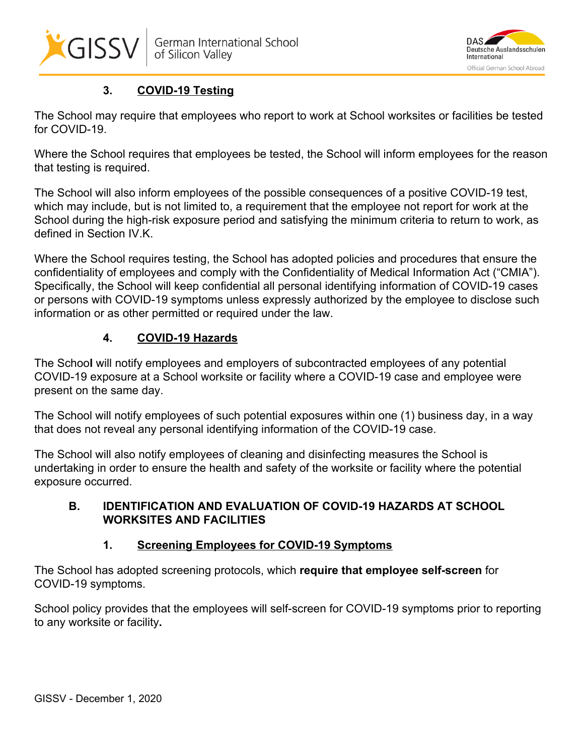



# **3. COVID-19 Testing**

The School may require that employees who report to work at School worksites or facilities be tested for COVID-19.

Where the School requires that employees be tested, the School will inform employees for the reason that testing is required.

The School will also inform employees of the possible consequences of a positive COVID-19 test, which may include, but is not limited to, a requirement that the employee not report for work at the School during the high-risk exposure period and satisfying the minimum criteria to return to work, as defined in Section IV.K.

Where the School requires testing, the School has adopted policies and procedures that ensure the confidentiality of employees and comply with the Confidentiality of Medical Information Act ("CMIA"). Specifically, the School will keep confidential all personal identifying information of COVID-19 cases or persons with COVID-19 symptoms unless expressly authorized by the employee to disclose such information or as other permitted or required under the law.

# **4. COVID-19 Hazards**

The Schoo**l** will notify employees and employers of subcontracted employees of any potential COVID-19 exposure at a School worksite or facility where a COVID-19 case and employee were present on the same day.

The School will notify employees of such potential exposures within one (1) business day, in a way that does not reveal any personal identifying information of the COVID-19 case.

The School will also notify employees of cleaning and disinfecting measures the School is undertaking in order to ensure the health and safety of the worksite or facility where the potential exposure occurred.

# **B. IDENTIFICATION AND EVALUATION OF COVID-19 HAZARDS AT SCHOOL WORKSITES AND FACILITIES**

# **1. Screening Employees for COVID-19 Symptoms**

The School has adopted screening protocols, which **require that employee self-screen** for COVID-19 symptoms.

School policy provides that the employees will self-screen for COVID-19 symptoms prior to reporting to any worksite or facility**.**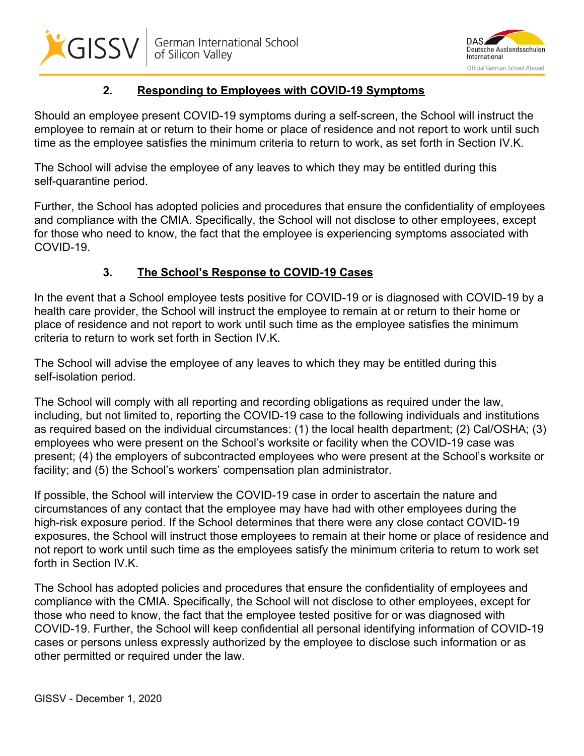



# **2. Responding to Employees with COVID-19 Symptoms**

Should an employee present COVID-19 symptoms during a self-screen, the School will instruct the employee to remain at or return to their home or place of residence and not report to work until such time as the employee satisfies the minimum criteria to return to work, as set forth in Section IV.K.

The School will advise the employee of any leaves to which they may be entitled during this self-quarantine period.

Further, the School has adopted policies and procedures that ensure the confidentiality of employees and compliance with the CMIA. Specifically, the School will not disclose to other employees, except for those who need to know, the fact that the employee is experiencing symptoms associated with COVID-19.

# **3. The School's Response to COVID-19 Cases**

In the event that a School employee tests positive for COVID-19 or is diagnosed with COVID-19 by a health care provider, the School will instruct the employee to remain at or return to their home or place of residence and not report to work until such time as the employee satisfies the minimum criteria to return to work set forth in Section IV.K.

The School will advise the employee of any leaves to which they may be entitled during this self-isolation period.

The School will comply with all reporting and recording obligations as required under the law, including, but not limited to, reporting the COVID-19 case to the following individuals and institutions as required based on the individual circumstances: (1) the local health department; (2) Cal/OSHA; (3) employees who were present on the School's worksite or facility when the COVID-19 case was present; (4) the employers of subcontracted employees who were present at the School's worksite or facility; and (5) the School's workers' compensation plan administrator.

If possible, the School will interview the COVID-19 case in order to ascertain the nature and circumstances of any contact that the employee may have had with other employees during the high-risk exposure period. If the School determines that there were any close contact COVID-19 exposures, the School will instruct those employees to remain at their home or place of residence and not report to work until such time as the employees satisfy the minimum criteria to return to work set forth in Section IV.K.

The School has adopted policies and procedures that ensure the confidentiality of employees and compliance with the CMIA. Specifically, the School will not disclose to other employees, except for those who need to know, the fact that the employee tested positive for or was diagnosed with COVID-19. Further, the School will keep confidential all personal identifying information of COVID-19 cases or persons unless expressly authorized by the employee to disclose such information or as other permitted or required under the law.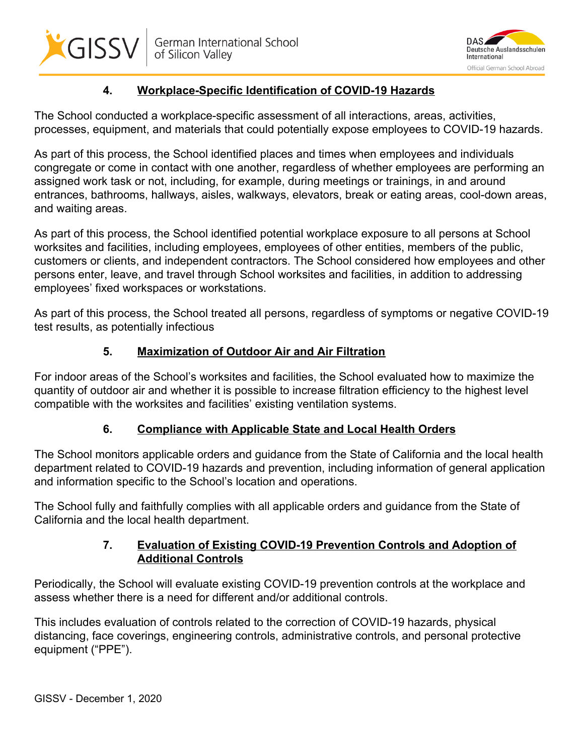



# **4. Workplace-Specific Identification of COVID-19 Hazards**

The School conducted a workplace-specific assessment of all interactions, areas, activities, processes, equipment, and materials that could potentially expose employees to COVID-19 hazards.

As part of this process, the School identified places and times when employees and individuals congregate or come in contact with one another, regardless of whether employees are performing an assigned work task or not, including, for example, during meetings or trainings, in and around entrances, bathrooms, hallways, aisles, walkways, elevators, break or eating areas, cool-down areas, and waiting areas.

As part of this process, the School identified potential workplace exposure to all persons at School worksites and facilities, including employees, employees of other entities, members of the public, customers or clients, and independent contractors. The School considered how employees and other persons enter, leave, and travel through School worksites and facilities, in addition to addressing employees' fixed workspaces or workstations.

As part of this process, the School treated all persons, regardless of symptoms or negative COVID-19 test results, as potentially infectious

## **5. Maximization of Outdoor Air and Air Filtration**

For indoor areas of the School's worksites and facilities, the School evaluated how to maximize the quantity of outdoor air and whether it is possible to increase filtration efficiency to the highest level compatible with the worksites and facilities' existing ventilation systems.

## **6. Compliance with Applicable State and Local Health Orders**

The School monitors applicable orders and guidance from the State of California and the local health department related to COVID-19 hazards and prevention, including information of general application and information specific to the School's location and operations.

The School fully and faithfully complies with all applicable orders and guidance from the State of California and the local health department.

## **7. Evaluation of Existing COVID-19 Prevention Controls and Adoption of Additional Controls**

Periodically, the School will evaluate existing COVID-19 prevention controls at the workplace and assess whether there is a need for different and/or additional controls.

This includes evaluation of controls related to the correction of COVID-19 hazards, physical distancing, face coverings, engineering controls, administrative controls, and personal protective equipment ("PPE").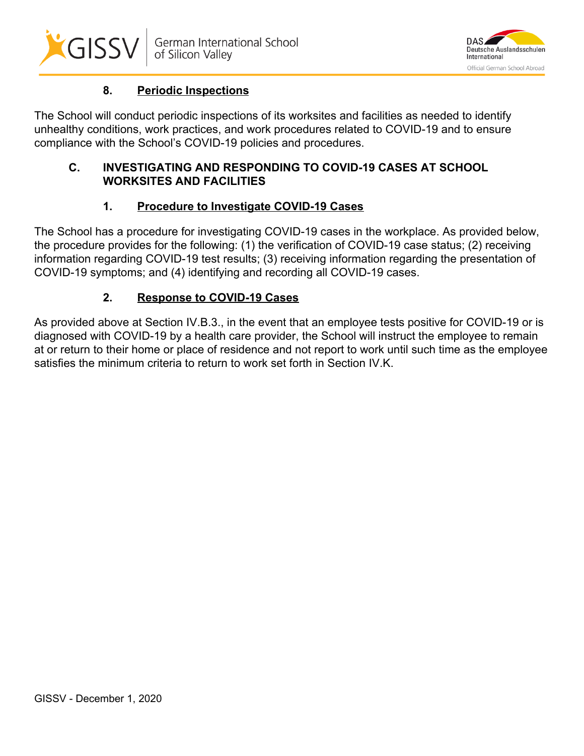



# **8. Periodic Inspections**

The School will conduct periodic inspections of its worksites and facilities as needed to identify unhealthy conditions, work practices, and work procedures related to COVID-19 and to ensure compliance with the School's COVID-19 policies and procedures.

## **C. INVESTIGATING AND RESPONDING TO COVID-19 CASES AT SCHOOL WORKSITES AND FACILITIES**

# **1. Procedure to Investigate COVID-19 Cases**

The School has a procedure for investigating COVID-19 cases in the workplace. As provided below, the procedure provides for the following: (1) the verification of COVID-19 case status; (2) receiving information regarding COVID-19 test results; (3) receiving information regarding the presentation of COVID-19 symptoms; and (4) identifying and recording all COVID-19 cases.

# **2. Response to COVID-19 Cases**

As provided above at Section IV.B.3., in the event that an employee tests positive for COVID-19 or is diagnosed with COVID-19 by a health care provider, the School will instruct the employee to remain at or return to their home or place of residence and not report to work until such time as the employee satisfies the minimum criteria to return to work set forth in Section IV.K.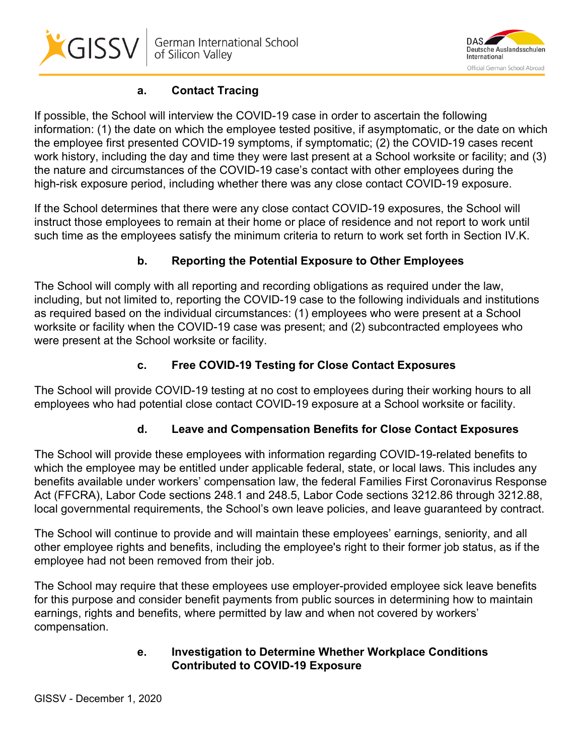



# **a. Contact Tracing**

If possible, the School will interview the COVID-19 case in order to ascertain the following information: (1) the date on which the employee tested positive, if asymptomatic, or the date on which the employee first presented COVID-19 symptoms, if symptomatic; (2) the COVID-19 cases recent work history, including the day and time they were last present at a School worksite or facility; and (3) the nature and circumstances of the COVID-19 case's contact with other employees during the high-risk exposure period, including whether there was any close contact COVID-19 exposure.

If the School determines that there were any close contact COVID-19 exposures, the School will instruct those employees to remain at their home or place of residence and not report to work until such time as the employees satisfy the minimum criteria to return to work set forth in Section IV.K.

# **b. Reporting the Potential Exposure to Other Employees**

The School will comply with all reporting and recording obligations as required under the law, including, but not limited to, reporting the COVID-19 case to the following individuals and institutions as required based on the individual circumstances: (1) employees who were present at a School worksite or facility when the COVID-19 case was present; and (2) subcontracted employees who were present at the School worksite or facility.

# **c. Free COVID-19 Testing for Close Contact Exposures**

The School will provide COVID-19 testing at no cost to employees during their working hours to all employees who had potential close contact COVID-19 exposure at a School worksite or facility.

# **d. Leave and Compensation Benefits for Close Contact Exposures**

The School will provide these employees with information regarding COVID-19-related benefits to which the employee may be entitled under applicable federal, state, or local laws. This includes any benefits available under workers' compensation law, the federal Families First Coronavirus Response Act (FFCRA), Labor Code sections 248.1 and 248.5, Labor Code sections 3212.86 through 3212.88, local governmental requirements, the School's own leave policies, and leave guaranteed by contract.

The School will continue to provide and will maintain these employees' earnings, seniority, and all other employee rights and benefits, including the employee's right to their former job status, as if the employee had not been removed from their job.

The School may require that these employees use employer-provided employee sick leave benefits for this purpose and consider benefit payments from public sources in determining how to maintain earnings, rights and benefits, where permitted by law and when not covered by workers' compensation.

#### **e. Investigation to Determine Whether Workplace Conditions Contributed to COVID-19 Exposure**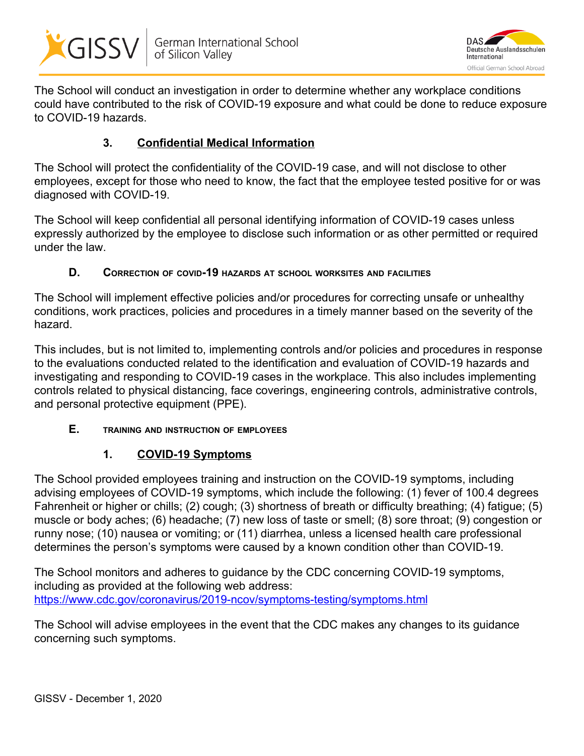



The School will conduct an investigation in order to determine whether any workplace conditions could have contributed to the risk of COVID-19 exposure and what could be done to reduce exposure to COVID-19 hazards.

## **3. Confidential Medical Information**

The School will protect the confidentiality of the COVID-19 case, and will not disclose to other employees, except for those who need to know, the fact that the employee tested positive for or was diagnosed with COVID-19.

The School will keep confidential all personal identifying information of COVID-19 cases unless expressly authorized by the employee to disclose such information or as other permitted or required under the law.

#### **D. CORRECTION OF COVID-19 HAZARDS AT SCHOOL WORKSITES AND FACILITIES**

The School will implement effective policies and/or procedures for correcting unsafe or unhealthy conditions, work practices, policies and procedures in a timely manner based on the severity of the hazard.

This includes, but is not limited to, implementing controls and/or policies and procedures in response to the evaluations conducted related to the identification and evaluation of COVID-19 hazards and investigating and responding to COVID-19 cases in the workplace. This also includes implementing controls related to physical distancing, face coverings, engineering controls, administrative controls, and personal protective equipment (PPE).

## **E. TRAINING AND INSTRUCTION OF EMPLOYEES**

## **1. COVID-19 Symptoms**

The School provided employees training and instruction on the COVID-19 symptoms, including advising employees of COVID-19 symptoms, which include the following: (1) fever of 100.4 degrees Fahrenheit or higher or chills; (2) cough; (3) shortness of breath or difficulty breathing; (4) fatigue; (5) muscle or body aches; (6) headache; (7) new loss of taste or smell; (8) sore throat; (9) congestion or runny nose; (10) nausea or vomiting; or (11) diarrhea, unless a licensed health care professional determines the person's symptoms were caused by a known condition other than COVID-19.

The School monitors and adheres to guidance by the CDC concerning COVID-19 symptoms, including as provided at the following web address: <https://www.cdc.gov/coronavirus/2019-ncov/symptoms-testing/symptoms.html>

The School will advise employees in the event that the CDC makes any changes to its guidance concerning such symptoms.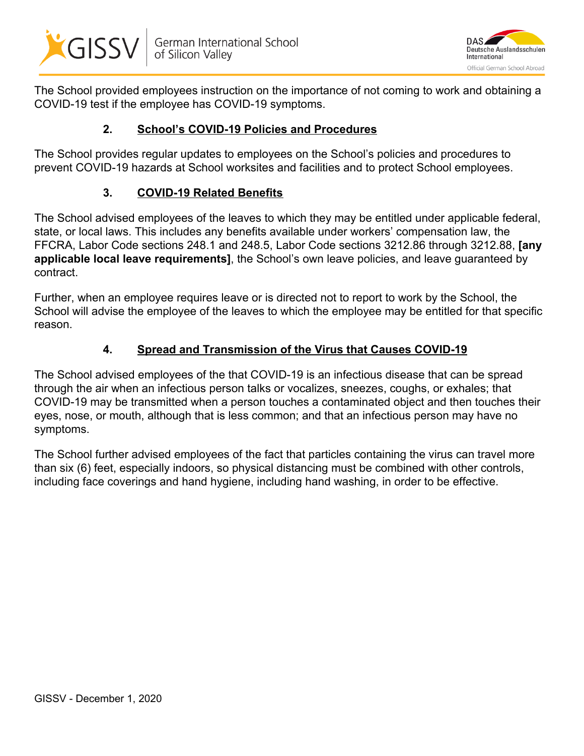



The School provided employees instruction on the importance of not coming to work and obtaining a COVID-19 test if the employee has COVID-19 symptoms.

## **2. School's COVID-19 Policies and Procedures**

The School provides regular updates to employees on the School's policies and procedures to prevent COVID-19 hazards at School worksites and facilities and to protect School employees.

# **3. COVID-19 Related Benefits**

The School advised employees of the leaves to which they may be entitled under applicable federal, state, or local laws. This includes any benefits available under workers' compensation law, the FFCRA, Labor Code sections 248.1 and 248.5, Labor Code sections 3212.86 through 3212.88, **[any applicable local leave requirements]**, the School's own leave policies, and leave guaranteed by contract.

Further, when an employee requires leave or is directed not to report to work by the School, the School will advise the employee of the leaves to which the employee may be entitled for that specific reason.

## **4. Spread and Transmission of the Virus that Causes COVID-19**

The School advised employees of the that COVID-19 is an infectious disease that can be spread through the air when an infectious person talks or vocalizes, sneezes, coughs, or exhales; that COVID-19 may be transmitted when a person touches a contaminated object and then touches their eyes, nose, or mouth, although that is less common; and that an infectious person may have no symptoms.

The School further advised employees of the fact that particles containing the virus can travel more than six (6) feet, especially indoors, so physical distancing must be combined with other controls, including face coverings and hand hygiene, including hand washing, in order to be effective.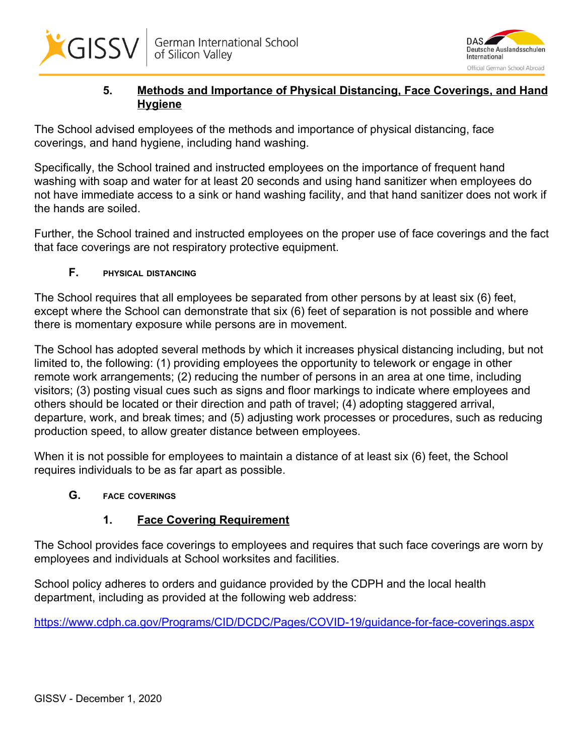



## **5. Methods and Importance of Physical Distancing, Face Coverings, and Hand Hygiene**

The School advised employees of the methods and importance of physical distancing, face coverings, and hand hygiene, including hand washing.

Specifically, the School trained and instructed employees on the importance of frequent hand washing with soap and water for at least 20 seconds and using hand sanitizer when employees do not have immediate access to a sink or hand washing facility, and that hand sanitizer does not work if the hands are soiled.

Further, the School trained and instructed employees on the proper use of face coverings and the fact that face coverings are not respiratory protective equipment.

## **F. PHYSICAL DISTANCING**

The School requires that all employees be separated from other persons by at least six (6) feet, except where the School can demonstrate that six (6) feet of separation is not possible and where there is momentary exposure while persons are in movement.

The School has adopted several methods by which it increases physical distancing including, but not limited to, the following: (1) providing employees the opportunity to telework or engage in other remote work arrangements; (2) reducing the number of persons in an area at one time, including visitors; (3) posting visual cues such as signs and floor markings to indicate where employees and others should be located or their direction and path of travel; (4) adopting staggered arrival, departure, work, and break times; and (5) adjusting work processes or procedures, such as reducing production speed, to allow greater distance between employees.

When it is not possible for employees to maintain a distance of at least six (6) feet, the School requires individuals to be as far apart as possible.

## **G. FACE COVERINGS**

## **1. Face Covering Requirement**

The School provides face coverings to employees and requires that such face coverings are worn by employees and individuals at School worksites and facilities.

School policy adheres to orders and guidance provided by the CDPH and the local health department, including as provided at the following web address:

<https://www.cdph.ca.gov/Programs/CID/DCDC/Pages/COVID-19/guidance-for-face-coverings.aspx>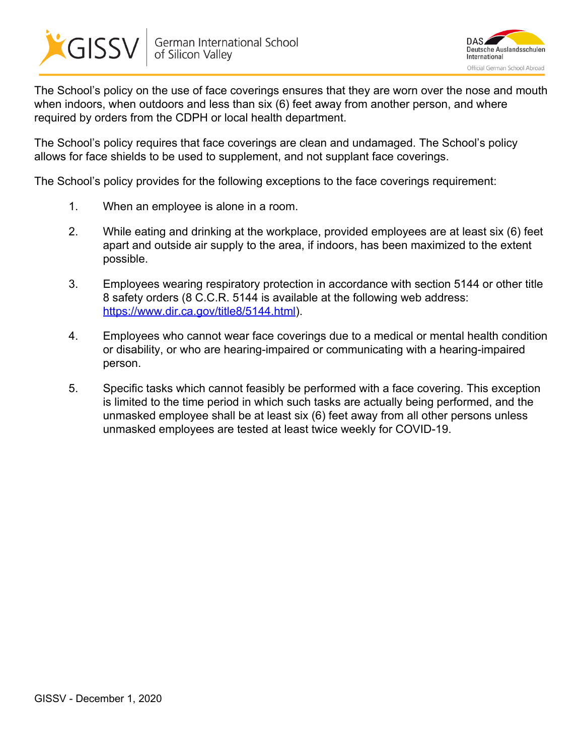



The School's policy on the use of face coverings ensures that they are worn over the nose and mouth when indoors, when outdoors and less than six (6) feet away from another person, and where required by orders from the CDPH or local health department.

The School's policy requires that face coverings are clean and undamaged. The School's policy allows for face shields to be used to supplement, and not supplant face coverings.

The School's policy provides for the following exceptions to the face coverings requirement:

- 1. When an employee is alone in a room.
- 2. While eating and drinking at the workplace, provided employees are at least six (6) feet apart and outside air supply to the area, if indoors, has been maximized to the extent possible.
- 3. Employees wearing respiratory protection in accordance with section 5144 or other title 8 safety orders (8 C.C.R. 5144 is available at the following web address: <https://www.dir.ca.gov/title8/5144.html>).
- 4. Employees who cannot wear face coverings due to a medical or mental health condition or disability, or who are hearing-impaired or communicating with a hearing-impaired person.
- 5. Specific tasks which cannot feasibly be performed with a face covering. This exception is limited to the time period in which such tasks are actually being performed, and the unmasked employee shall be at least six (6) feet away from all other persons unless unmasked employees are tested at least twice weekly for COVID-19.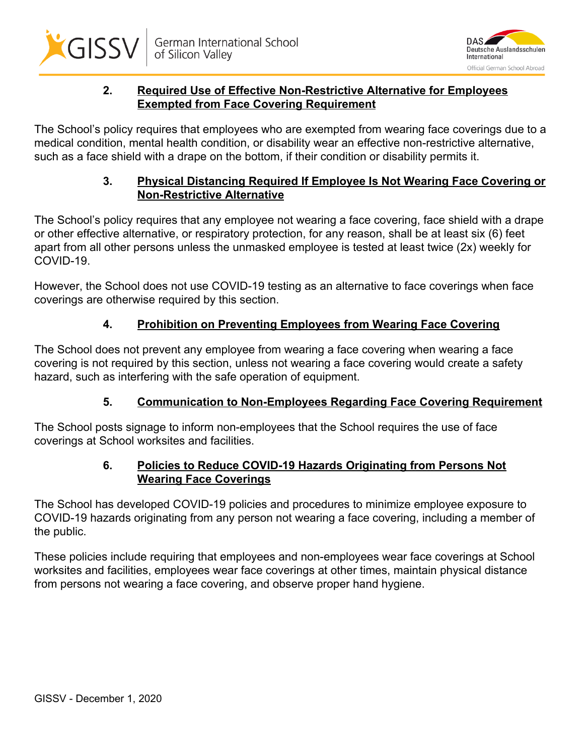



## **2. Required Use of Effective Non-Restrictive Alternative for Employees Exempted from Face Covering Requirement**

The School's policy requires that employees who are exempted from wearing face coverings due to a medical condition, mental health condition, or disability wear an effective non-restrictive alternative, such as a face shield with a drape on the bottom, if their condition or disability permits it.

#### **3. Physical Distancing Required If Employee Is Not Wearing Face Covering or Non-Restrictive Alternative**

The School's policy requires that any employee not wearing a face covering, face shield with a drape or other effective alternative, or respiratory protection, for any reason, shall be at least six (6) feet apart from all other persons unless the unmasked employee is tested at least twice (2x) weekly for COVID-19.

However, the School does not use COVID-19 testing as an alternative to face coverings when face coverings are otherwise required by this section.

# **4. Prohibition on Preventing Employees from Wearing Face Covering**

The School does not prevent any employee from wearing a face covering when wearing a face covering is not required by this section, unless not wearing a face covering would create a safety hazard, such as interfering with the safe operation of equipment.

# **5. Communication to Non-Employees Regarding Face Covering Requirement**

The School posts signage to inform non-employees that the School requires the use of face coverings at School worksites and facilities.

## **6. Policies to Reduce COVID-19 Hazards Originating from Persons Not Wearing Face Coverings**

The School has developed COVID-19 policies and procedures to minimize employee exposure to COVID-19 hazards originating from any person not wearing a face covering, including a member of the public.

These policies include requiring that employees and non-employees wear face coverings at School worksites and facilities, employees wear face coverings at other times, maintain physical distance from persons not wearing a face covering, and observe proper hand hygiene.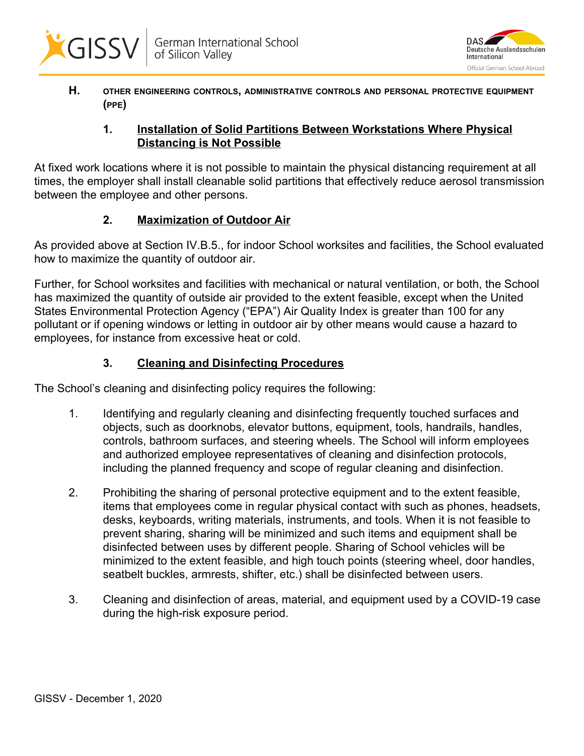



**H. OTHER ENGINEERING CONTROLS, ADMINISTRATIVE CONTROLS AND PERSONAL PROTECTIVE EQUIPMENT (PPE)**

#### **1. Installation of Solid Partitions Between Workstations Where Physical Distancing is Not Possible**

At fixed work locations where it is not possible to maintain the physical distancing requirement at all times, the employer shall install cleanable solid partitions that effectively reduce aerosol transmission between the employee and other persons.

# **2. Maximization of Outdoor Air**

As provided above at Section IV.B.5., for indoor School worksites and facilities, the School evaluated how to maximize the quantity of outdoor air.

Further, for School worksites and facilities with mechanical or natural ventilation, or both, the School has maximized the quantity of outside air provided to the extent feasible, except when the United States Environmental Protection Agency ("EPA") Air Quality Index is greater than 100 for any pollutant or if opening windows or letting in outdoor air by other means would cause a hazard to employees, for instance from excessive heat or cold.

# **3. Cleaning and Disinfecting Procedures**

The School's cleaning and disinfecting policy requires the following:

- 1. Identifying and regularly cleaning and disinfecting frequently touched surfaces and objects, such as doorknobs, elevator buttons, equipment, tools, handrails, handles, controls, bathroom surfaces, and steering wheels. The School will inform employees and authorized employee representatives of cleaning and disinfection protocols, including the planned frequency and scope of regular cleaning and disinfection.
- 2. Prohibiting the sharing of personal protective equipment and to the extent feasible, items that employees come in regular physical contact with such as phones, headsets, desks, keyboards, writing materials, instruments, and tools. When it is not feasible to prevent sharing, sharing will be minimized and such items and equipment shall be disinfected between uses by different people. Sharing of School vehicles will be minimized to the extent feasible, and high touch points (steering wheel, door handles, seatbelt buckles, armrests, shifter, etc.) shall be disinfected between users.
- 3. Cleaning and disinfection of areas, material, and equipment used by a COVID-19 case during the high-risk exposure period.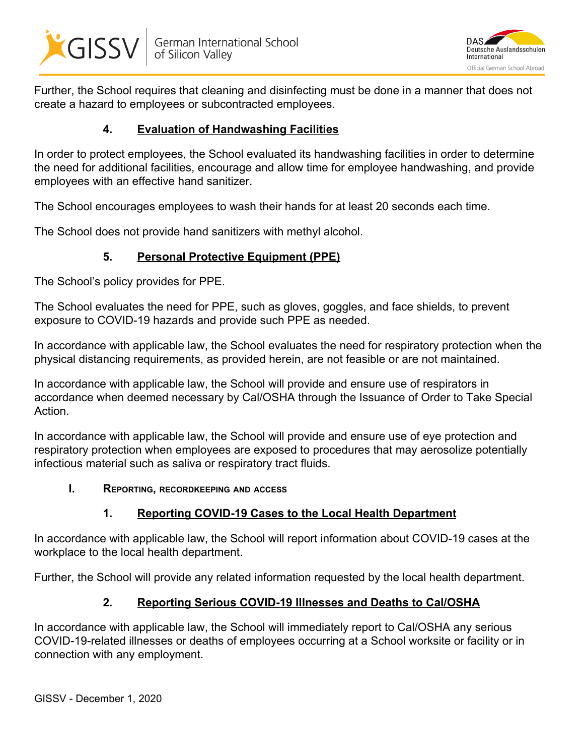



Further, the School requires that cleaning and disinfecting must be done in a manner that does not create a hazard to employees or subcontracted employees.

#### **4. Evaluation of Handwashing Facilities**

In order to protect employees, the School evaluated its handwashing facilities in order to determine the need for additional facilities, encourage and allow time for employee handwashing, and provide employees with an effective hand sanitizer.

The School encourages employees to wash their hands for at least 20 seconds each time.

The School does not provide hand sanitizers with methyl alcohol.

# **5. Personal Protective Equipment (PPE)**

The School's policy provides for PPE.

The School evaluates the need for PPE, such as gloves, goggles, and face shields, to prevent exposure to COVID-19 hazards and provide such PPE as needed.

In accordance with applicable law, the School evaluates the need for respiratory protection when the physical distancing requirements, as provided herein, are not feasible or are not maintained.

In accordance with applicable law, the School will provide and ensure use of respirators in accordance when deemed necessary by Cal/OSHA through the Issuance of Order to Take Special Action.

In accordance with applicable law, the School will provide and ensure use of eye protection and respiratory protection when employees are exposed to procedures that may aerosolize potentially infectious material such as saliva or respiratory tract fluids.

#### **I. REPORTING, RECORDKEEPING AND ACCESS**

# **1. Reporting COVID-19 Cases to the Local Health Department**

In accordance with applicable law, the School will report information about COVID-19 cases at the workplace to the local health department.

Further, the School will provide any related information requested by the local health department.

## **2. Reporting Serious COVID-19 Illnesses and Deaths to Cal/OSHA**

In accordance with applicable law, the School will immediately report to Cal/OSHA any serious COVID-19-related illnesses or deaths of employees occurring at a School worksite or facility or in connection with any employment.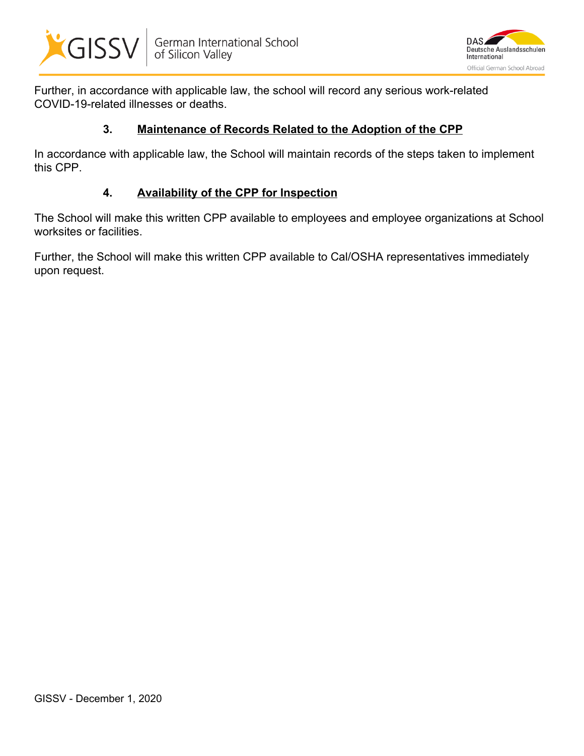



Further, in accordance with applicable law, the school will record any serious work-related COVID-19-related illnesses or deaths.

#### **3. Maintenance of Records Related to the Adoption of the CPP**

In accordance with applicable law, the School will maintain records of the steps taken to implement this CPP.

#### **4. Availability of the CPP for Inspection**

The School will make this written CPP available to employees and employee organizations at School worksites or facilities.

Further, the School will make this written CPP available to Cal/OSHA representatives immediately upon request.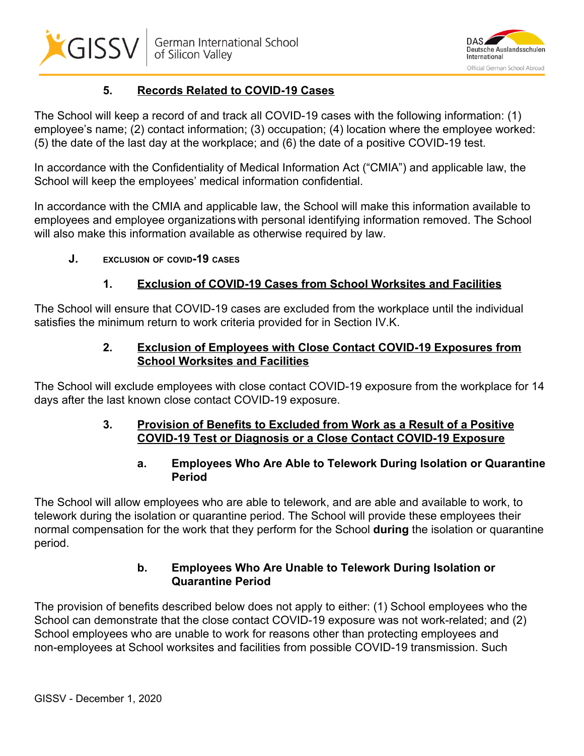



# **5. Records Related to COVID-19 Cases**

The School will keep a record of and track all COVID-19 cases with the following information: (1) employee's name; (2) contact information; (3) occupation; (4) location where the employee worked: (5) the date of the last day at the workplace; and (6) the date of a positive COVID-19 test.

In accordance with the Confidentiality of Medical Information Act ("CMIA") and applicable law, the School will keep the employees' medical information confidential.

In accordance with the CMIA and applicable law, the School will make this information available to employees and employee organizations with personal identifying information removed. The School will also make this information available as otherwise required by law.

**J. EXCLUSION OF COVID-19 CASES**

# **1. Exclusion of COVID-19 Cases from School Worksites and Facilities**

The School will ensure that COVID-19 cases are excluded from the workplace until the individual satisfies the minimum return to work criteria provided for in Section IV.K.

## **2. Exclusion of Employees with Close Contact COVID-19 Exposures from School Worksites and Facilities**

The School will exclude employees with close contact COVID-19 exposure from the workplace for 14 days after the last known close contact COVID-19 exposure.

#### **3. Provision of Benefits to Excluded from Work as a Result of a Positive COVID-19 Test or Diagnosis or a Close Contact COVID-19 Exposure**

## **a. Employees Who Are Able to Telework During Isolation or Quarantine Period**

The School will allow employees who are able to telework, and are able and available to work, to telework during the isolation or quarantine period. The School will provide these employees their normal compensation for the work that they perform for the School **during** the isolation or quarantine period.

# **b. Employees Who Are Unable to Telework During Isolation or Quarantine Period**

The provision of benefits described below does not apply to either: (1) School employees who the School can demonstrate that the close contact COVID-19 exposure was not work-related; and (2) School employees who are unable to work for reasons other than protecting employees and non-employees at School worksites and facilities from possible COVID-19 transmission. Such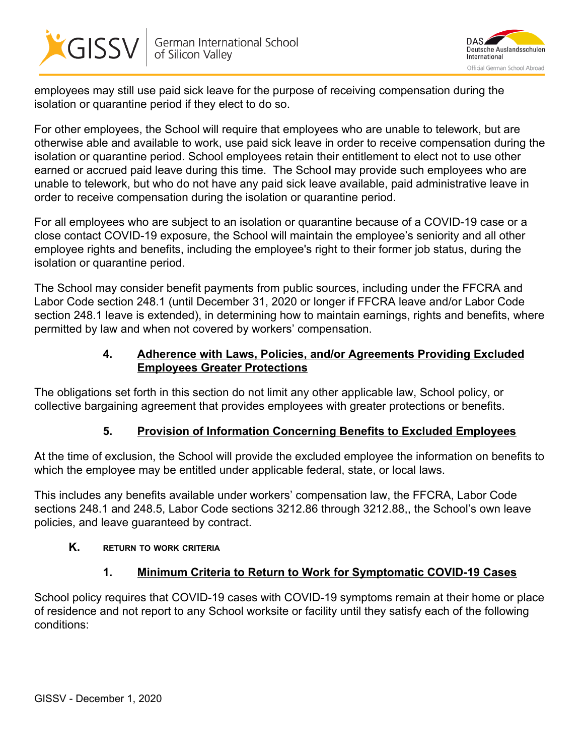



employees may still use paid sick leave for the purpose of receiving compensation during the isolation or quarantine period if they elect to do so.

For other employees, the School will require that employees who are unable to telework, but are otherwise able and available to work, use paid sick leave in order to receive compensation during the isolation or quarantine period. School employees retain their entitlement to elect not to use other earned or accrued paid leave during this time. The Schoo**l** may provide such employees who are unable to telework, but who do not have any paid sick leave available, paid administrative leave in order to receive compensation during the isolation or quarantine period.

For all employees who are subject to an isolation or quarantine because of a COVID-19 case or a close contact COVID-19 exposure, the School will maintain the employee's seniority and all other employee rights and benefits, including the employee's right to their former job status, during the isolation or quarantine period.

The School may consider benefit payments from public sources, including under the FFCRA and Labor Code section 248.1 (until December 31, 2020 or longer if FFCRA leave and/or Labor Code section 248.1 leave is extended), in determining how to maintain earnings, rights and benefits, where permitted by law and when not covered by workers' compensation.

## **4. Adherence with Laws, Policies, and/or Agreements Providing Excluded Employees Greater Protections**

The obligations set forth in this section do not limit any other applicable law, School policy, or collective bargaining agreement that provides employees with greater protections or benefits.

# **5. Provision of Information Concerning Benefits to Excluded Employees**

At the time of exclusion, the School will provide the excluded employee the information on benefits to which the employee may be entitled under applicable federal, state, or local laws.

This includes any benefits available under workers' compensation law, the FFCRA, Labor Code sections 248.1 and 248.5, Labor Code sections 3212.86 through 3212.88,, the School's own leave policies, and leave guaranteed by contract.

## **K. RETURN TO WORK CRITERIA**

## **1. Minimum Criteria to Return to Work for Symptomatic COVID-19 Cases**

School policy requires that COVID-19 cases with COVID-19 symptoms remain at their home or place of residence and not report to any School worksite or facility until they satisfy each of the following conditions: